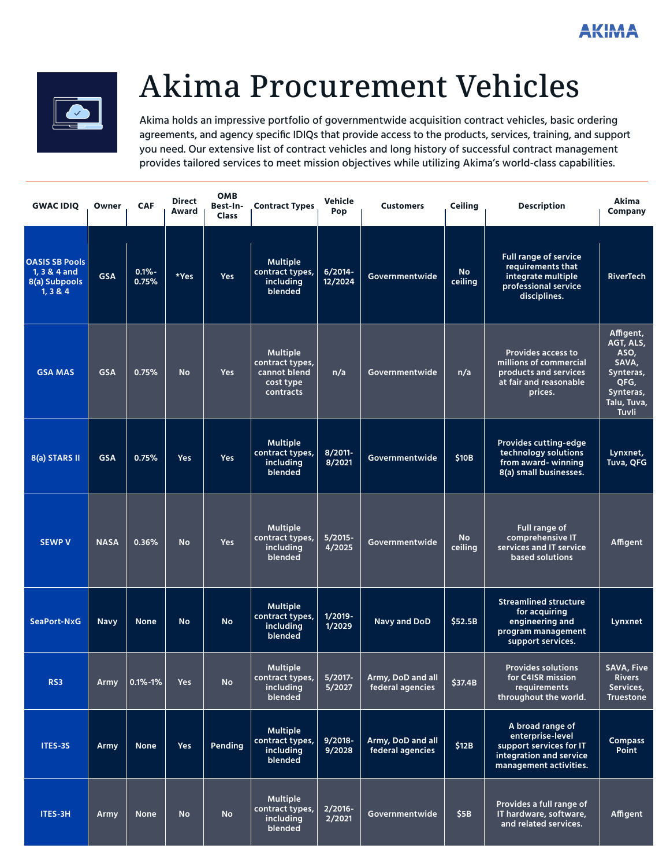

# Akima Procurement Vehicles

Akima holds an impressive portfolio of governmentwide acquisition contract vehicles, basic ordering agreements, and agency specific IDIQs that provide access to the products, services, training, and support you need. Our extensive list of contract vehicles and long history of successful contract management provides tailored services to meet mission objectives while utilizing Akima's world-class capabilities.

| <b>GWAC IDIO</b>                                                   | Owner       | <b>CAF</b>        | <b>Direct</b><br>Award | <b>OMB</b><br>Best-In-<br><b>Class</b> | <b>Contract Types</b>                                                        | Vehicle<br>Pop        | <b>Customers</b>                      | <b>Ceiling</b>       | <b>Description</b>                                                                                                   | <b>Akima</b><br><b>Company</b>                                                                           |
|--------------------------------------------------------------------|-------------|-------------------|------------------------|----------------------------------------|------------------------------------------------------------------------------|-----------------------|---------------------------------------|----------------------|----------------------------------------------------------------------------------------------------------------------|----------------------------------------------------------------------------------------------------------|
| <b>OASIS SB Pools</b><br>1, 3 & 4 and<br>8(a) Subpools<br>1, 3 & 4 | <b>GSA</b>  | $0.1% -$<br>0.75% | *Yes                   | Yes                                    | <b>Multiple</b><br>contract types,<br>including<br>blended                   | $6/2014 -$<br>12/2024 | Governmentwide                        | <b>No</b><br>ceiling | <b>Full range of service</b><br>requirements that<br>integrate multiple<br>professional service<br>disciplines.      | <b>RiverTech</b>                                                                                         |
| <b>GSA MAS</b>                                                     | <b>GSA</b>  | 0.75%             | <b>No</b>              | <b>Yes</b>                             | <b>Multiple</b><br>contract types,<br>cannot blend<br>cost type<br>contracts | n/a                   | Governmentwide                        | n/a                  | <b>Provides access to</b><br>millions of commercial<br>products and services<br>at fair and reasonable<br>prices.    | Affigent,<br>AGT, ALS,<br>ASO,<br>SAVA,<br>Synteras,<br>QFG,<br>Synteras,<br>Talu, Tuva,<br><b>Tuvli</b> |
| 8(a) STARS II                                                      | <b>GSA</b>  | 0.75%             | <b>Yes</b>             | Yes                                    | <b>Multiple</b><br>contract types,<br>including<br>blended                   | 8/2011-<br>8/2021     | Governmentwide                        | \$10B                | <b>Provides cutting-edge</b><br>technology solutions<br>from award-winning<br>8(a) small businesses.                 | Lynxnet,<br>Tuva, QFG                                                                                    |
| <b>SEWP V</b>                                                      | <b>NASA</b> | 0.36%             | <b>No</b>              | Yes                                    | <b>Multiple</b><br>contract types,<br>including<br>blended                   | $5/2015 -$<br>4/2025  | Governmentwide                        | <b>No</b><br>ceiling | Full range of<br>comprehensive IT<br>services and IT service<br>based solutions                                      | Affigent                                                                                                 |
| SeaPort-NxG                                                        | <b>Navy</b> | <b>None</b>       | <b>No</b>              | <b>No</b>                              | <b>Multiple</b><br>contract types,<br>including<br>blended                   | 1/2019-<br>1/2029     | <b>Navy and DoD</b>                   | \$52.5B              | <b>Streamlined structure</b><br>for acquiring<br>engineering and<br>program management<br>support services.          | Lynxnet                                                                                                  |
| RS3                                                                | <b>Army</b> | $0.1\% - 1\%$     | Yes                    | <b>No</b>                              | <b>Multiple</b><br>contract types,<br>including<br>blended                   | $5/2017 -$<br>5/2027  | Army, DoD and all<br>federal agencies | \$37.4B              | <b>Provides solutions</b><br>for C4ISR mission<br>requirements<br>throughout the world.                              | <b>SAVA, Five</b><br><b>Rivers</b><br>Services,<br><b>Truestone</b>                                      |
| ITES-3S                                                            | Army        | <b>None</b>       | <b>Yes</b>             | Pending                                | <b>Multiple</b><br>contract types,<br>including<br>blended                   | $9/2018 -$<br>9/2028  | Army, DoD and all<br>federal agencies | \$12B                | A broad range of<br>enterprise-level<br>support services for IT<br>integration and service<br>management activities. | <b>Compass</b><br>Point                                                                                  |
| ITES-3H                                                            | Army        | <b>None</b>       | <b>No</b>              | <b>No</b>                              | <b>Multiple</b><br>contract types,<br>including<br>blended                   | 2/2016-<br>2/2021     | Governmentwide                        | \$5B                 | Provides a full range of<br>IT hardware, software,<br>and related services.                                          | Affigent                                                                                                 |